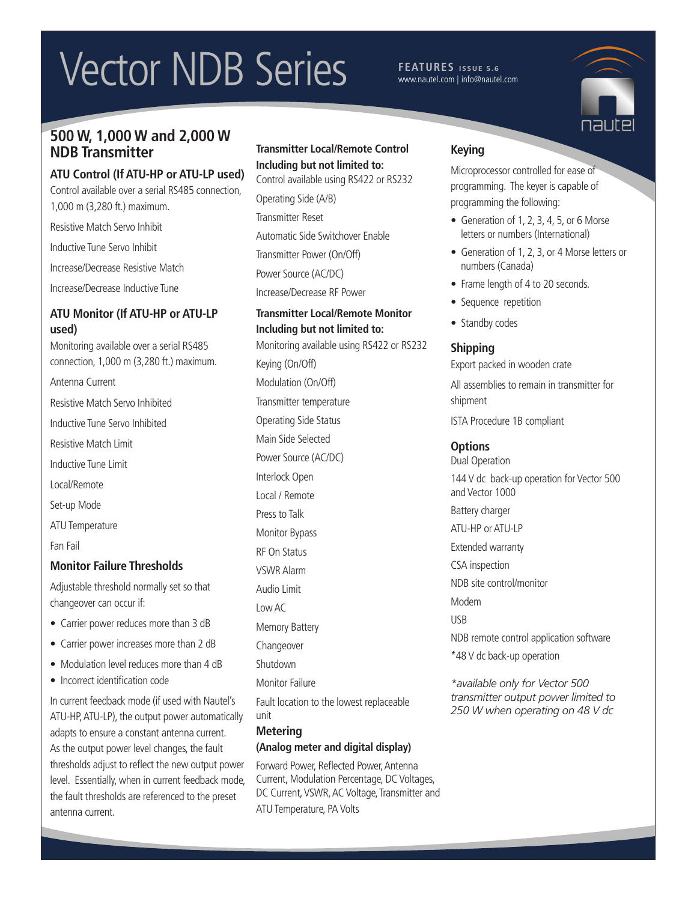# Vector NDB Series **FEATURES** ISSUE 5.6

www.nautel.com | info@nautel.com

# **500 W, 1,000 W and 2,000 W NDB Transmitter**

#### **ATU Control (If ATU-HP or ATU-LP used)**

Control available over a serial RS485 connection, 1,000 m (3,280 ft.) maximum.

Resistive Match Servo Inhibit

Inductive Tune Servo Inhibit

Increase/Decrease Resistive Match

Increase/Decrease Inductive Tune

#### **ATU Monitor (If ATU-HP or ATU-LP used)**

Monitoring available over a serial RS485 connection, 1,000 m (3,280 ft.) maximum. Antenna Current Resistive Match Servo Inhibited Inductive Tune Servo Inhibited Resistive Match Limit Inductive Tune Limit Local/Remote Set-up Mode ATU Temperature Fan Fail **Monitor Failure Thresholds**

Adjustable threshold normally set so that changeover can occur if:

- Carrier power reduces more than 3 dB
- Carrier power increases more than 2 dB
- Modulation level reduces more than 4 dB
- Incorrect identification code

In current feedback mode (if used with Nautel's ATU-HP, ATU-LP), the output power automatically adapts to ensure a constant antenna current. As the output power level changes, the fault thresholds adjust to reflect the new output power level. Essentially, when in current feedback mode, the fault thresholds are referenced to the preset antenna current.

#### **Transmitter Local/Remote Control Including but not limited to:**

Control available using RS422 or RS232 Operating Side (A/B) Transmitter Reset Automatic Side Switchover Enable Transmitter Power (On/Off) Power Source (AC/DC) Increase/Decrease RF Power

## **Transmitter Local/Remote Monitor Including but not limited to:**

Monitoring available using RS422 or RS232 Keying (On/Off) Modulation (On/Off) Transmitter temperature Operating Side Status Main Side Selected Power Source (AC/DC) Interlock Open Local / Remote Press to Talk Monitor Bypass RF On Status VSWR Alarm Audio Limit Low AC Memory Battery Changeover Shutdown Monitor Failure Fault location to the lowest replaceable unit **Metering**

#### **(Analog meter and digital display)**

Forward Power, Reflected Power, Antenna Current, Modulation Percentage, DC Voltages, DC Current, VSWR, AC Voltage, Transmitter and ATU Temperature, PA Volts

### **Keying**

Microprocessor controlled for ease of programming. The keyer is capable of programming the following:

- Generation of 1, 2, 3, 4, 5, or 6 Morse letters or numbers (International)
- Generation of 1, 2, 3, or 4 Morse letters or numbers (Canada)
- Frame length of 4 to 20 seconds.
- Sequence repetition
- Standby codes

### **Shipping**

Export packed in wooden crate

All assemblies to remain in transmitter for shipment

ISTA Procedure 1B compliant

#### **Options**

Dual Operation 144 V dc back-up operation for Vector 500 and Vector 1000 Battery charger ATU-HP or ATU-LP Extended warranty CSA inspection NDB site control/monitor Modem USB NDB remote control application software \*48 V dc back-up operation

*\*available only for Vector 500 transmitter output power limited to 250 W when operating on 48 V dc*

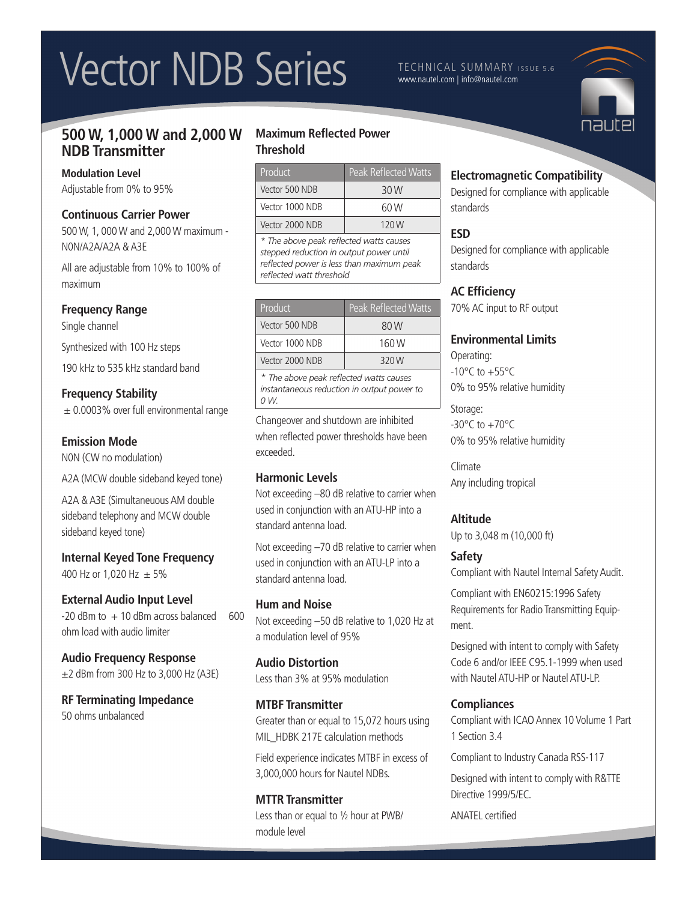# Vector NDB Series **Integrate Communary Issue S.6**

www.nautel.com | info@nautel.com

# **500 W, 1,000 W and 2,000 W NDB Transmitter**

#### **Modulation Level**

Adjustable from 0% to 95%

#### **Continuous Carrier Power**

500 W, 1, 000 W and 2,000 W maximum - N0N/A2A/A2A & A3E

All are adjustable from 10% to 100% of maximum

#### **Frequency Range**

Single channel

Synthesized with 100 Hz steps

190 kHz to 535 kHz standard band

#### **Frequency Stability**

 $\pm$  0.0003% over full environmental range

#### **Emission Mode**

N0N (CW no modulation)

A2A (MCW double sideband keyed tone)

A2A & A3E (Simultaneuous AM double sideband telephony and MCW double sideband keyed tone)

**Internal Keyed Tone Frequency** 400 Hz or 1,020 Hz  $\pm$  5%

### **External Audio Input Level**

 $-20$  dBm to  $+10$  dBm across balanced 600 ohm load with audio limiter

**Audio Frequency Response**  $\pm$ 2 dBm from 300 Hz to 3,000 Hz (A3E)

#### **RF Terminating Impedance** 50 ohms unbalanced

#### **Maximum Reflected Power Threshold**

| Product         | <b>Peak Reflected Watts</b> |
|-----------------|-----------------------------|
| Vector 500 NDB  | 30 W                        |
| Vector 1000 NDB | 60 W                        |
| Vector 2000 NDB | 120 W                       |

*\* The above peak reflected watts causes stepped reduction in output power until reflected power is less than maximum peak reflected watt threshold*

| Product         | <b>Peak Reflected Watts</b> |
|-----------------|-----------------------------|
| Vector 500 NDB  | 80 W                        |
| Vector 1000 NDB | 160 W                       |
| Vector 2000 NDB | 320W                        |
|                 |                             |

*\* The above peak reflected watts causes instantaneous reduction in output power to 0 W.*

Changeover and shutdown are inhibited when reflected power thresholds have been exceeded.

#### **Harmonic Levels**

Not exceeding –80 dB relative to carrier when used in conjunction with an ATU-HP into a standard antenna load.

Not exceeding –70 dB relative to carrier when used in conjunction with an ATU-LP into a standard antenna load.

#### **Hum and Noise**

Not exceeding –50 dB relative to 1,020 Hz at a modulation level of 95%

**Audio Distortion** Less than 3% at 95% modulation

#### **MTBF Transmitter**

Greater than or equal to 15,072 hours using MIL HDBK 217E calculation methods

Field experience indicates MTBF in excess of 3,000,000 hours for Nautel NDBs.

#### **MTTR Transmitter**

Less than or equal to ½ hour at PWB/ module level

### **Electromagnetic Compatibility**

Designed for compliance with applicable standards

### **ESD**

Designed for compliance with applicable standards

### **AC Efficiency**

70% AC input to RF output

#### **Environmental Limits**

Operating:  $-10^{\circ}$ C to  $+55^{\circ}$ C 0% to 95% relative humidity

Storage:  $-30^{\circ}$ C to  $+70^{\circ}$ C 0% to 95% relative humidity

Climate Any including tropical

#### **Altitude**

Up to 3,048 m (10,000 ft)

### **Safety**

Compliant with Nautel Internal Safety Audit.

Compliant with EN60215:1996 Safety Requirements for Radio Transmitting Equipment.

Designed with intent to comply with Safety Code 6 and/or IEEE C95.1-1999 when used with Nautel ATU-HP or Nautel ATU-LP.

#### **Compliances**

Compliant with ICAO Annex 10 Volume 1 Part 1 Section 3.4

Compliant to Industry Canada RSS-117

Designed with intent to comply with R&TTE Directive 1999/5/EC.

ANATEL certified